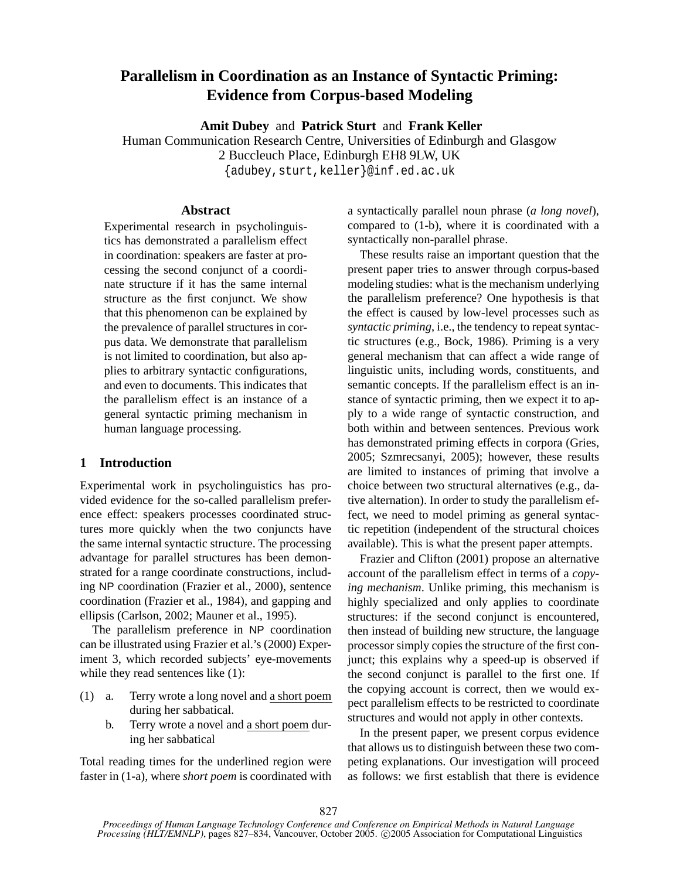# **Parallelism in Coordination as an Instance of Syntactic Priming: Evidence from Corpus-based Modeling**

**Amit Dubey** and **Patrick Sturt** and **Frank Keller**

Human Communication Research Centre, Universities of Edinburgh and Glasgow 2 Buccleuch Place, Edinburgh EH8 9LW, UK

{adubey,sturt,keller}@inf.ed.ac.uk

### **Abstract**

Experimental research in psycholinguistics has demonstrated a parallelism effect in coordination: speakers are faster at processing the second conjunct of a coordinate structure if it has the same internal structure as the first conjunct. We show that this phenomenon can be explained by the prevalence of parallel structures in corpus data. We demonstrate that parallelism is not limited to coordination, but also applies to arbitrary syntactic configurations, and even to documents. This indicates that the parallelism effect is an instance of a general syntactic priming mechanism in human language processing.

### **1 Introduction**

Experimental work in psycholinguistics has provided evidence for the so-called parallelism preference effect: speakers processes coordinated structures more quickly when the two conjuncts have the same internal syntactic structure. The processing advantage for parallel structures has been demonstrated for a range coordinate constructions, including NP coordination (Frazier et al., 2000), sentence coordination (Frazier et al., 1984), and gapping and ellipsis (Carlson, 2002; Mauner et al., 1995).

The parallelism preference in NP coordination can be illustrated using Frazier et al.'s (2000) Experiment 3, which recorded subjects' eye-movements while they read sentences like  $(1)$ :

- (1) a. Terry wrote a long novel and a short poem during her sabbatical.
	- b. Terry wrote a novel and a short poem during her sabbatical

Total reading times for the underlined region were faster in (1-a), where *short poem* is coordinated with a syntactically parallel noun phrase (*a long novel*), compared to (1-b), where it is coordinated with a syntactically non-parallel phrase.

These results raise an important question that the present paper tries to answer through corpus-based modeling studies: what is the mechanism underlying the parallelism preference? One hypothesis is that the effect is caused by low-level processes such as *syntactic priming*, i.e., the tendency to repeat syntactic structures (e.g., Bock, 1986). Priming is a very general mechanism that can affect a wide range of linguistic units, including words, constituents, and semantic concepts. If the parallelism effect is an instance of syntactic priming, then we expect it to apply to a wide range of syntactic construction, and both within and between sentences. Previous work has demonstrated priming effects in corpora (Gries, 2005; Szmrecsanyi, 2005); however, these results are limited to instances of priming that involve a choice between two structural alternatives (e.g., dative alternation). In order to study the parallelism effect, we need to model priming as general syntactic repetition (independent of the structural choices available). This is what the present paper attempts.

Frazier and Clifton (2001) propose an alternative account of the parallelism effect in terms of a *copying mechanism*. Unlike priming, this mechanism is highly specialized and only applies to coordinate structures: if the second conjunct is encountered, then instead of building new structure, the language processor simply copies the structure of the first conjunct; this explains why a speed-up is observed if the second conjunct is parallel to the first one. If the copying account is correct, then we would expect parallelism effects to be restricted to coordinate structures and would not apply in other contexts.

In the present paper, we present corpus evidence that allows us to distinguish between these two competing explanations. Our investigation will proceed as follows: we first establish that there is evidence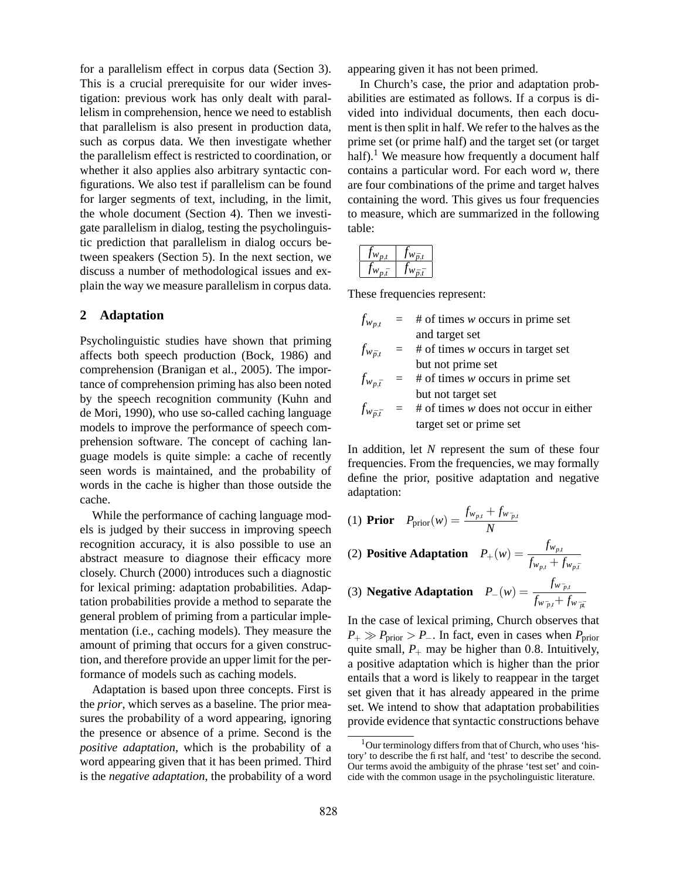for a parallelism effect in corpus data (Section 3). This is a crucial prerequisite for our wider investigation: previous work has only dealt with parallelism in comprehension, hence we need to establish that parallelism is also present in production data, such as corpus data. We then investigate whether the parallelism effect is restricted to coordination, or whether it also applies also arbitrary syntactic configurations. We also test if parallelism can be found for larger segments of text, including, in the limit, the whole document (Section 4). Then we investigate parallelism in dialog, testing the psycholinguistic prediction that parallelism in dialog occurs between speakers (Section 5). In the next section, we discuss a number of methodological issues and explain the way we measure parallelism in corpus data.

### **2 Adaptation**

Psycholinguistic studies have shown that priming affects both speech production (Bock, 1986) and comprehension (Branigan et al., 2005). The importance of comprehension priming has also been noted by the speech recognition community (Kuhn and de Mori, 1990), who use so-called caching language models to improve the performance of speech comprehension software. The concept of caching language models is quite simple: a cache of recently seen words is maintained, and the probability of words in the cache is higher than those outside the cache.

While the performance of caching language models is judged by their success in improving speech recognition accuracy, it is also possible to use an abstract measure to diagnose their efficacy more closely. Church (2000) introduces such a diagnostic for lexical priming: adaptation probabilities. Adaptation probabilities provide a method to separate the general problem of priming from a particular implementation (i.e., caching models). They measure the amount of priming that occurs for a given construction, and therefore provide an upper limit for the performance of models such as caching models.

Adaptation is based upon three concepts. First is the *prior*, which serves as a baseline. The prior measures the probability of a word appearing, ignoring the presence or absence of a prime. Second is the *positive adaptation*, which is the probability of a word appearing given that it has been primed. Third is the *negative adaptation*, the probability of a word

appearing given it has not been primed.

In Church's case, the prior and adaptation probabilities are estimated as follows. If a corpus is divided into individual documents, then each document is then split in half. We refer to the halves as the prime set (or prime half) and the target set (or target half).<sup>1</sup> We measure how frequently a document half contains a particular word. For each word *w*, there are four combinations of the prime and target halves containing the word. This gives us four frequencies to measure, which are summarized in the following table:

| $W_{\mathbf{n},t}$ | $W\bar{n}$ t |
|--------------------|--------------|
| . 7                | t Z.         |

These frequencies represent:

- $f_{w_{p,t}}$  = # of times *w* occurs in prime set and target set
- $f_{w_{\bar{p},t}}$  = # of times *w* occurs in target set but not prime set

$$
f_{w_{p,\bar{t}}} = # of times w occurs in prime setbut not target set
$$

 $f_{w_{\bar{p},\bar{t}}}$  = # of times *w* does not occur in either target set or prime set

In addition, let *N* represent the sum of these four frequencies. From the frequencies, we may formally define the prior, positive adaptation and negative adaptation:

 $\text{Prior}$   $P_{\text{prior}}(w) = \frac{f_{w_{p,t}} + f_{w_{p,t}}}{N}$ (1) **Prior**  $P_{\text{prior}}(w) = \frac{J_{Wp,t}}{N}$ 

(2) Positive Adaptation 
$$
P_+(w) = \frac{f_{w_{p,t}}}{f_{w_{p,t}} + f_{w_{p,\bar{t}}}}
$$

 ${\bf Negative \; Adaptation \quad P_-(w) = \frac{f_{w_{p,p}}}{f_{p,p}}}$ (3) **Negative Adaptation**  $P_-(w) = \frac{f_{w,p,t} - f_{w,p,t}}{f_{w,p,t} + f_{w,p,t}}$ 

In the case of lexical priming, Church observes that  $P_+ \gg P_{\text{prior}} > P_-$ . In fact, even in cases when  $P_{\text{prior}}$ quite small,  $P_+$  may be higher than 0.8. Intuitively, a positive adaptation which is higher than the prior entails that a word is likely to reappear in the target set given that it has already appeared in the prime set. We intend to show that adaptation probabilities provide evidence that syntactic constructions behave

 $1$ Our terminology differs from that of Church, who uses 'history' to describe the first half, and 'test' to describe the second. Our terms avoid the ambiguity of the phrase 'test set' and coincide with the common usage in the psycholinguistic literature.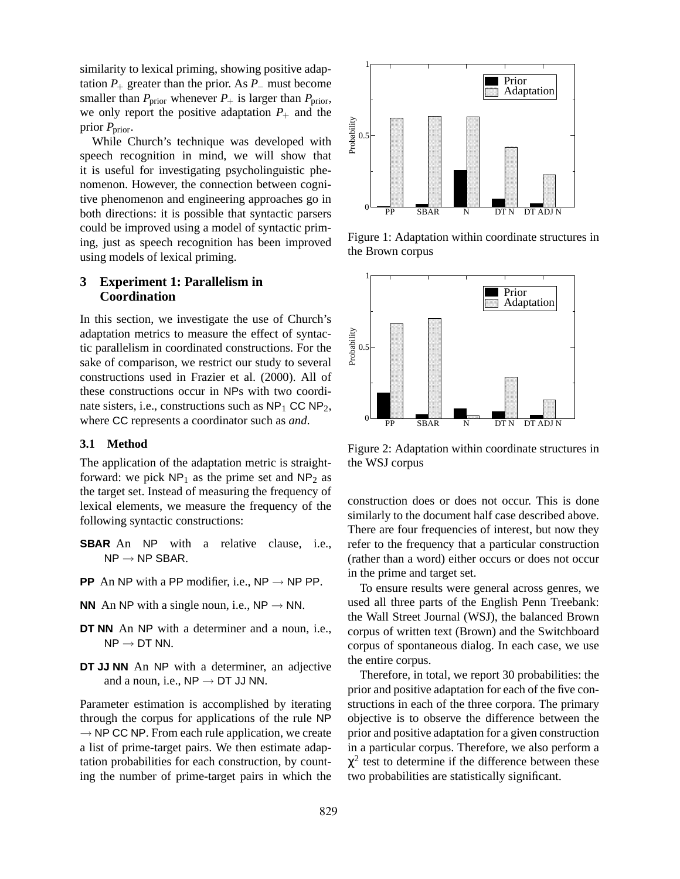similarity to lexical priming, showing positive adaptation  $P_+$  greater than the prior. As  $P_-\,$  must become smaller than  $P_{\text{prior}}$  whenever  $P_+$  is larger than  $P_{\text{prior}}$ , we only report the positive adaptation  $P_+$  and the prior *P*prior.

While Church's technique was developed with speech recognition in mind, we will show that it is useful for investigating psycholinguistic phenomenon. However, the connection between cognitive phenomenon and engineering approaches go in both directions: it is possible that syntactic parsers could be improved using a model of syntactic priming, just as speech recognition has been improved using models of lexical priming.

## **3 Experiment 1: Parallelism in Coordination**

In this section, we investigate the use of Church's adaptation metrics to measure the effect of syntactic parallelism in coordinated constructions. For the sake of comparison, we restrict our study to several constructions used in Frazier et al. (2000). All of these constructions occur in NPs with two coordinate sisters, i.e., constructions such as  $NP<sub>1</sub> CC NP<sub>2</sub>$ , where CC represents a coordinator such as *and*.

#### **3.1 Method**

The application of the adaptation metric is straightforward: we pick  $NP_1$  as the prime set and  $NP_2$  as the target set. Instead of measuring the frequency of lexical elements, we measure the frequency of the following syntactic constructions:

- **SBAR** An NP with a relative clause, i.e.,  $NP \rightarrow NP$  SBAR.
- **PP** An NP with a PP modifier, i.e.,  $NP \rightarrow NP PP$ .
- **NN** An NP with a single noun, i.e.,  $NP \rightarrow NN$ .
- **DT NN** An NP with a determiner and a noun, i.e.,  $NP \rightarrow DT$  NN.
- **DT JJ NN** An NP with a determiner, an adjective and a noun, i.e.,  $NP \rightarrow DT$  JJ NN.

Parameter estimation is accomplished by iterating through the corpus for applications of the rule NP  $\rightarrow$  NP CC NP. From each rule application, we create a list of prime-target pairs. We then estimate adaptation probabilities for each construction, by counting the number of prime-target pairs in which the



Figure 1: Adaptation within coordinate structures in the Brown corpus



Figure 2: Adaptation within coordinate structures in the WSJ corpus

construction does or does not occur. This is done similarly to the document half case described above. There are four frequencies of interest, but now they refer to the frequency that a particular construction (rather than a word) either occurs or does not occur in the prime and target set.

To ensure results were general across genres, we used all three parts of the English Penn Treebank: the Wall Street Journal (WSJ), the balanced Brown corpus of written text (Brown) and the Switchboard corpus of spontaneous dialog. In each case, we use the entire corpus.

Therefore, in total, we report 30 probabilities: the prior and positive adaptation for each of the five constructions in each of the three corpora. The primary objective is to observe the difference between the prior and positive adaptation for a given construction in a particular corpus. Therefore, we also perform a  $\chi^2$  test to determine if the difference between these two probabilities are statistically significant.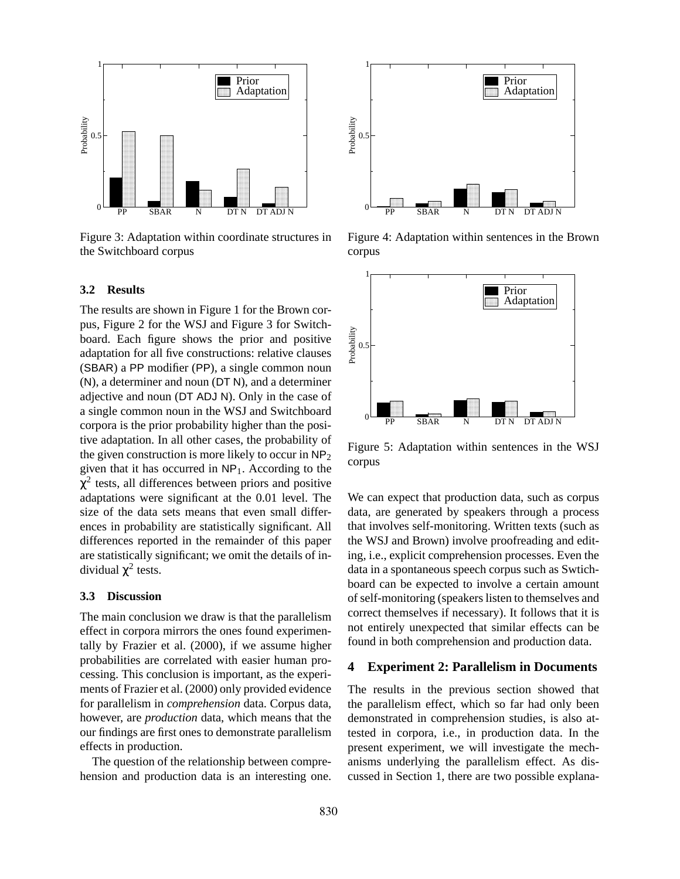

Figure 3: Adaptation within coordinate structures in the Switchboard corpus

#### **3.2 Results**

The results are shown in Figure 1 for the Brown corpus, Figure 2 for the WSJ and Figure 3 for Switchboard. Each figure shows the prior and positive adaptation for all five constructions: relative clauses (SBAR) a PP modifier (PP), a single common noun (N), a determiner and noun (DT N), and a determiner adjective and noun (DT ADJ N). Only in the case of a single common noun in the WSJ and Switchboard corpora is the prior probability higher than the positive adaptation. In all other cases, the probability of the given construction is more likely to occur in  $NP<sub>2</sub>$ given that it has occurred in  $NP<sub>1</sub>$ . According to the  $\chi^2$  tests, all differences between priors and positive adaptations were significant at the 0.01 level. The size of the data sets means that even small differences in probability are statistically significant. All differences reported in the remainder of this paper are statistically significant; we omit the details of individual  $\chi^2$  tests.

#### **3.3 Discussion**

The main conclusion we draw is that the parallelism effect in corpora mirrors the ones found experimentally by Frazier et al. (2000), if we assume higher probabilities are correlated with easier human processing. This conclusion is important, as the experiments of Frazier et al. (2000) only provided evidence for parallelism in *comprehension* data. Corpus data, however, are *production* data, which means that the our findings are first ones to demonstrate parallelism effects in production.

The question of the relationship between comprehension and production data is an interesting one.



Figure 4: Adaptation within sentences in the Brown corpus



Figure 5: Adaptation within sentences in the WSJ corpus

We can expect that production data, such as corpus data, are generated by speakers through a process that involves self-monitoring. Written texts (such as the WSJ and Brown) involve proofreading and editing, i.e., explicit comprehension processes. Even the data in a spontaneous speech corpus such as Swtichboard can be expected to involve a certain amount of self-monitoring (speakers listen to themselves and correct themselves if necessary). It follows that it is not entirely unexpected that similar effects can be found in both comprehension and production data.

### **4 Experiment 2: Parallelism in Documents**

The results in the previous section showed that the parallelism effect, which so far had only been demonstrated in comprehension studies, is also attested in corpora, i.e., in production data. In the present experiment, we will investigate the mechanisms underlying the parallelism effect. As discussed in Section 1, there are two possible explana-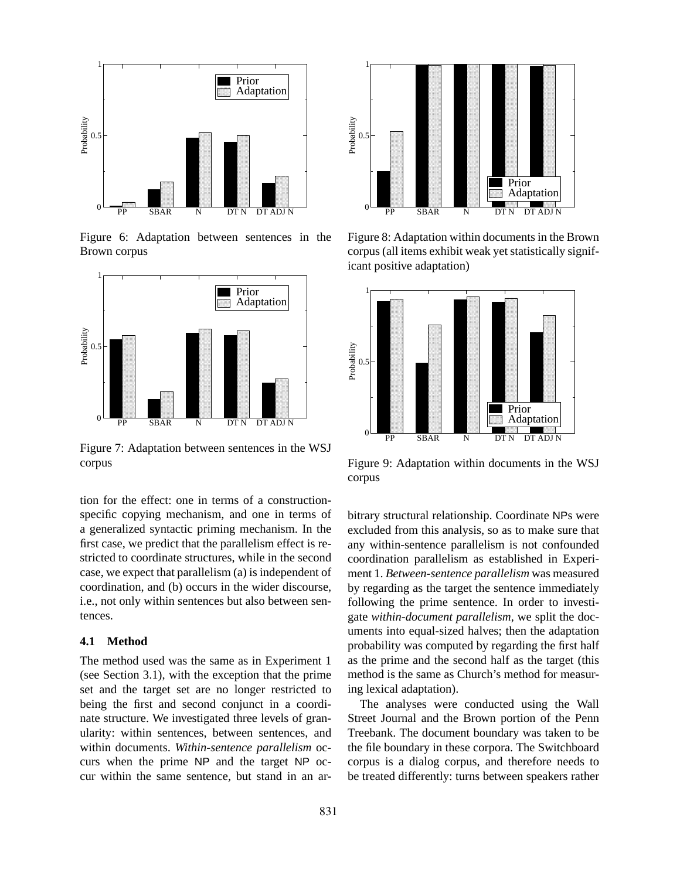

Figure 6: Adaptation between sentences in the Brown corpus



Figure 7: Adaptation between sentences in the WSJ corpus

tion for the effect: one in terms of a constructionspecific copying mechanism, and one in terms of a generalized syntactic priming mechanism. In the first case, we predict that the parallelism effect is restricted to coordinate structures, while in the second case, we expect that parallelism (a) is independent of coordination, and (b) occurs in the wider discourse, i.e., not only within sentences but also between sentences.

### **4.1 Method**

The method used was the same as in Experiment 1 (see Section 3.1), with the exception that the prime set and the target set are no longer restricted to being the first and second conjunct in a coordinate structure. We investigated three levels of granularity: within sentences, between sentences, and within documents. *Within-sentence parallelism* occurs when the prime NP and the target NP occur within the same sentence, but stand in an ar-



Figure 8: Adaptation within documents in the Brown corpus(all items exhibit weak yet statistically significant positive adaptation)



Figure 9: Adaptation within documents in the WSJ corpus

bitrary structural relationship. Coordinate NPs were excluded from this analysis, so as to make sure that any within-sentence parallelism is not confounded coordination parallelism as established in Experiment 1. *Between-sentence parallelism* was measured by regarding as the target the sentence immediately following the prime sentence. In order to investigate *within-document parallelism*, we split the documents into equal-sized halves; then the adaptation probability was computed by regarding the first half as the prime and the second half as the target (this method is the same as Church's method for measuring lexical adaptation).

The analyses were conducted using the Wall Street Journal and the Brown portion of the Penn Treebank. The document boundary was taken to be the file boundary in these corpora. The Switchboard corpus is a dialog corpus, and therefore needs to be treated differently: turns between speakers rather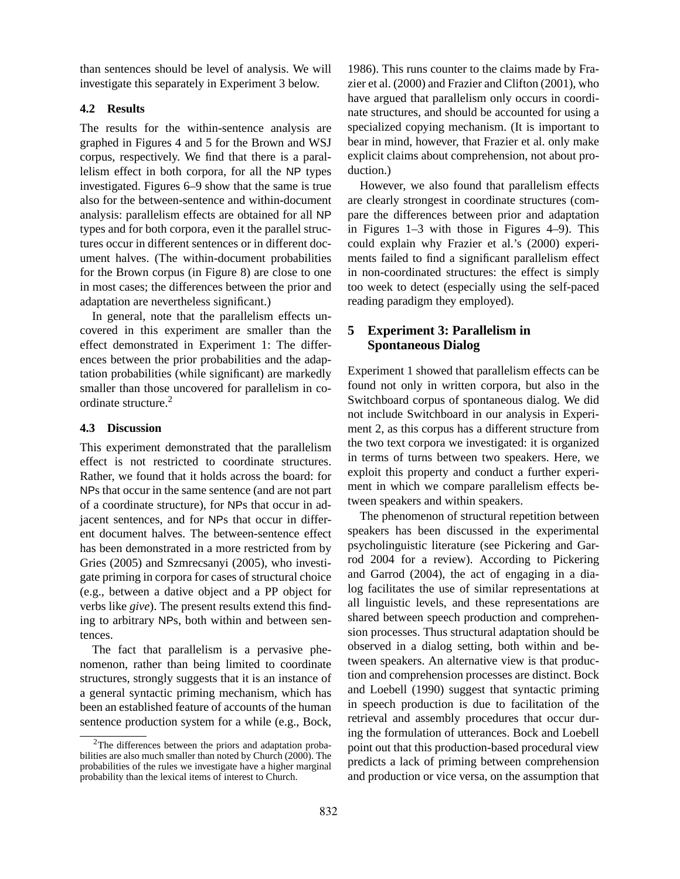than sentences should be level of analysis. We will investigate this separately in Experiment 3 below.

### **4.2 Results**

The results for the within-sentence analysis are graphed in Figures 4 and 5 for the Brown and WSJ corpus, respectively. We find that there is a parallelism effect in both corpora, for all the NP types investigated. Figures 6–9 show that the same is true also for the between-sentence and within-document analysis: parallelism effects are obtained for all NP types and for both corpora, even it the parallel structures occur in different sentences or in different document halves. (The within-document probabilities for the Brown corpus (in Figure 8) are close to one in most cases; the differences between the prior and adaptation are nevertheless significant.)

In general, note that the parallelism effects uncovered in this experiment are smaller than the effect demonstrated in Experiment 1: The differences between the prior probabilities and the adaptation probabilities (while significant) are markedly smaller than those uncovered for parallelism in coordinate structure.<sup>2</sup>

### **4.3 Discussion**

This experiment demonstrated that the parallelism effect is not restricted to coordinate structures. Rather, we found that it holds across the board: for NPs that occur in the same sentence (and are not part of a coordinate structure), for NPs that occur in adjacent sentences, and for NPs that occur in different document halves. The between-sentence effect has been demonstrated in a more restricted from by Gries (2005) and Szmrecsanyi (2005), who investigate priming in corpora for cases of structural choice (e.g., between a dative object and a PP object for verbs like *give*). The present results extend this finding to arbitrary NPs, both within and between sentences.

The fact that parallelism is a pervasive phenomenon, rather than being limited to coordinate structures, strongly suggests that it is an instance of a general syntactic priming mechanism, which has been an established feature of accounts of the human sentence production system for a while (e.g., Bock,

1986). This runs counter to the claims made by Frazier et al. (2000) and Frazier and Clifton (2001), who have argued that parallelism only occurs in coordinate structures, and should be accounted for using a specialized copying mechanism. (It is important to bear in mind, however, that Frazier et al. only make explicit claims about comprehension, not about production.)

However, we also found that parallelism effects are clearly strongest in coordinate structures (compare the differences between prior and adaptation in Figures 1–3 with those in Figures 4–9). This could explain why Frazier et al.'s (2000) experiments failed to find a significant parallelism effect in non-coordinated structures: the effect is simply too week to detect (especially using the self-paced reading paradigm they employed).

# **5 Experiment 3: Parallelism in Spontaneous Dialog**

Experiment 1 showed that parallelism effects can be found not only in written corpora, but also in the Switchboard corpus of spontaneous dialog. We did not include Switchboard in our analysis in Experiment 2, as this corpus has a different structure from the two text corpora we investigated: it is organized in terms of turns between two speakers. Here, we exploit this property and conduct a further experiment in which we compare parallelism effects between speakers and within speakers.

The phenomenon of structural repetition between speakers has been discussed in the experimental psycholinguistic literature (see Pickering and Garrod 2004 for a review). According to Pickering and Garrod (2004), the act of engaging in a dialog facilitates the use of similar representations at all linguistic levels, and these representations are shared between speech production and comprehension processes. Thus structural adaptation should be observed in a dialog setting, both within and between speakers. An alternative view is that production and comprehension processes are distinct. Bock and Loebell (1990) suggest that syntactic priming in speech production is due to facilitation of the retrieval and assembly procedures that occur during the formulation of utterances. Bock and Loebell point out that this production-based procedural view predicts a lack of priming between comprehension and production or vice versa, on the assumption that

<sup>&</sup>lt;sup>2</sup>The differences between the priors and adaptation probabilities are also much smaller than noted by Church (2000). The probabilities of the rules we investigate have a higher marginal probability than the lexical items of interest to Church.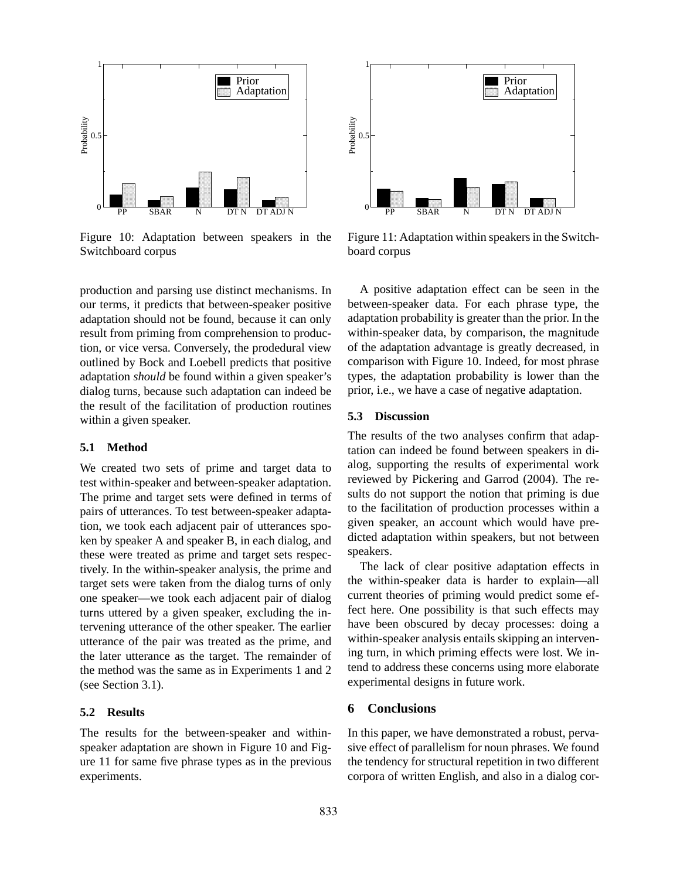

Figure 10: Adaptation between speakers in the Switchboard corpus

production and parsing use distinct mechanisms. In our terms, it predicts that between-speaker positive adaptation should not be found, because it can only result from priming from comprehension to production, or vice versa. Conversely, the prodedural view outlined by Bock and Loebell predicts that positive adaptation *should* be found within a given speaker's dialog turns, because such adaptation can indeed be the result of the facilitation of production routines within a given speaker.

#### **5.1 Method**

We created two sets of prime and target data to test within-speaker and between-speaker adaptation. The prime and target sets were defined in terms of pairs of utterances. To test between-speaker adaptation, we took each adjacent pair of utterances spoken by speaker A and speaker B, in each dialog, and these were treated as prime and target sets respectively. In the within-speaker analysis, the prime and target sets were taken from the dialog turns of only one speaker—we took each adjacent pair of dialog turns uttered by a given speaker, excluding the intervening utterance of the other speaker. The earlier utterance of the pair was treated as the prime, and the later utterance as the target. The remainder of the method was the same as in Experiments 1 and 2 (see Section 3.1).

#### **5.2 Results**

The results for the between-speaker and withinspeaker adaptation are shown in Figure 10 and Figure 11 for same five phrase types as in the previous experiments.



Figure 11: Adaptation within speakers in the Switchboard corpus

A positive adaptation effect can be seen in the between-speaker data. For each phrase type, the adaptation probability is greater than the prior. In the within-speaker data, by comparison, the magnitude of the adaptation advantage is greatly decreased, in comparison with Figure 10. Indeed, for most phrase types, the adaptation probability is lower than the prior, i.e., we have a case of negative adaptation.

#### **5.3 Discussion**

The results of the two analyses confirm that adaptation can indeed be found between speakers in dialog, supporting the results of experimental work reviewed by Pickering and Garrod (2004). The results do not support the notion that priming is due to the facilitation of production processes within a given speaker, an account which would have predicted adaptation within speakers, but not between speakers.

The lack of clear positive adaptation effects in the within-speaker data is harder to explain—all current theories of priming would predict some effect here. One possibility is that such effects may have been obscured by decay processes: doing a within-speaker analysis entails skipping an intervening turn, in which priming effects were lost. We intend to address these concerns using more elaborate experimental designs in future work.

### **6 Conclusions**

In this paper, we have demonstrated a robust, pervasive effect of parallelism for noun phrases. We found the tendency for structural repetition in two different corpora of written English, and also in a dialog cor